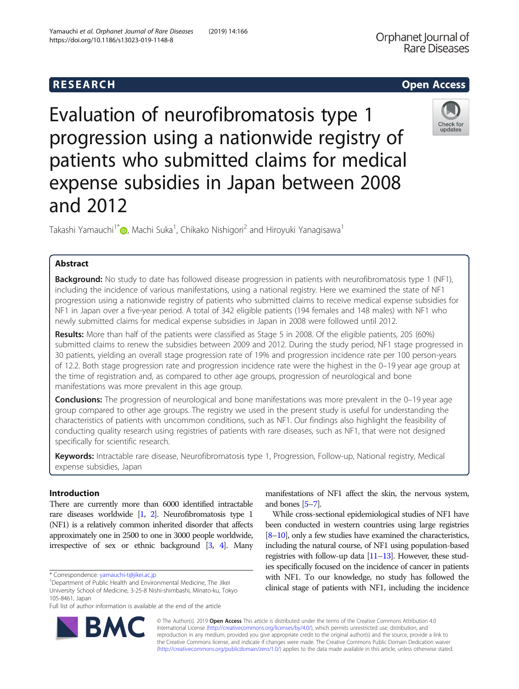# **RESEARCH CHILD CONTROL** CONTROL CONTROL CONTROL CONTROL CONTROL CONTROL CONTROL CONTROL CONTROL CONTROL CONTROL CONTROL CONTROL CONTROL CONTROL CONTROL CONTROL CONTROL CONTROL CONTROL CONTROL CONTROL CONTROL CONTROL CONTR

Evaluation of neurofibromatosis type 1 progression using a nationwide registry of patients who submitted claims for medical expense subsidies in Japan between 2008 and 2012

Takashi Yamauchi<sup>1[\\*](http://orcid.org/0000-0001-5295-4082)</sup> , Machi Suka<sup>1</sup>, Chikako Nishigori<sup>2</sup> and Hiroyuki Yanagisawa<sup>1</sup>

## Abstract

**Background:** No study to date has followed disease progression in patients with neurofibromatosis type 1 (NF1), including the incidence of various manifestations, using a national registry. Here we examined the state of NF1 progression using a nationwide registry of patients who submitted claims to receive medical expense subsidies for NF1 in Japan over a five-year period. A total of 342 eligible patients (194 females and 148 males) with NF1 who newly submitted claims for medical expense subsidies in Japan in 2008 were followed until 2012.

Results: More than half of the patients were classified as Stage 5 in 2008. Of the eligible patients, 205 (60%) submitted claims to renew the subsidies between 2009 and 2012. During the study period, NF1 stage progressed in 30 patients, yielding an overall stage progression rate of 19% and progression incidence rate per 100 person-years of 12.2. Both stage progression rate and progression incidence rate were the highest in the 0–19 year age group at the time of registration and, as compared to other age groups, progression of neurological and bone manifestations was more prevalent in this age group.

**Conclusions:** The progression of neurological and bone manifestations was more prevalent in the 0–19 year age group compared to other age groups. The registry we used in the present study is useful for understanding the characteristics of patients with uncommon conditions, such as NF1. Our findings also highlight the feasibility of conducting quality research using registries of patients with rare diseases, such as NF1, that were not designed specifically for scientific research.

Keywords: Intractable rare disease, Neurofibromatosis type 1, Progression, Follow-up, National registry, Medical expense subsidies, Japan

## Introduction

There are currently more than 6000 identified intractable rare diseases worldwide [\[1](#page-6-0), [2](#page-6-0)]. Neurofibromatosis type 1 (NF1) is a relatively common inherited disorder that affects approximately one in 2500 to one in 3000 people worldwide, irrespective of sex or ethnic background [\[3,](#page-6-0) [4\]](#page-6-0). Many

manifestations of NF1 affect the skin, the nervous system, and bones [\[5](#page-6-0)–[7](#page-6-0)].

While cross-sectional epidemiological studies of NF1 have been conducted in western countries using large registries [[8](#page-6-0)–[10](#page-6-0)], only a few studies have examined the characteristics, including the natural course, of NF1 using population-based registries with follow-up data  $[11–13]$  $[11–13]$  $[11–13]$ . However, these studies specifically focused on the incidence of cancer in patients with NF1. To our knowledge, no study has followed the clinical stage of patients with NF1, including the incidence

© The Author(s). 2019 Open Access This article is distributed under the terms of the Creative Commons Attribution 4.0 International License [\(http://creativecommons.org/licenses/by/4.0/](http://creativecommons.org/licenses/by/4.0/)), which permits unrestricted use, distribution, and reproduction in any medium, provided you give appropriate credit to the original author(s) and the source, provide a link to the Creative Commons license, and indicate if changes were made. The Creative Commons Public Domain Dedication waiver [\(http://creativecommons.org/publicdomain/zero/1.0/](http://creativecommons.org/publicdomain/zero/1.0/)) applies to the data made available in this article, unless otherwise stated.





<sup>\*</sup> Correspondence: [yamauchi-t@jikei.ac.jp](mailto:yamauchi-t@jikei.ac.jp) <sup>1</sup>

<sup>&</sup>lt;sup>1</sup>Department of Public Health and Environmental Medicine, The Jikei University School of Medicine, 3-25-8 Nishi-shimbashi, Minato-ku, Tokyo 105-8461, Japan

Full list of author information is available at the end of the article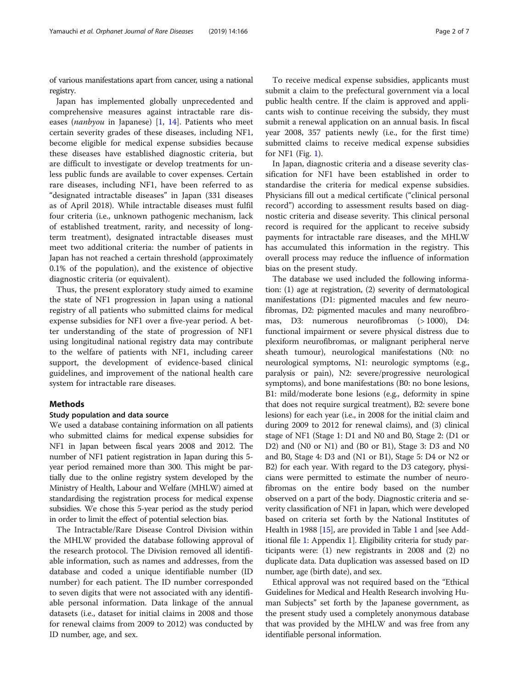of various manifestations apart from cancer, using a national registry.

Japan has implemented globally unprecedented and comprehensive measures against intractable rare diseases (nanbyou in Japanese) [[1,](#page-6-0) [14\]](#page-6-0). Patients who meet certain severity grades of these diseases, including NF1, become eligible for medical expense subsidies because these diseases have established diagnostic criteria, but are difficult to investigate or develop treatments for unless public funds are available to cover expenses. Certain rare diseases, including NF1, have been referred to as "designated intractable diseases" in Japan (331 diseases as of April 2018). While intractable diseases must fulfil four criteria (i.e., unknown pathogenic mechanism, lack of established treatment, rarity, and necessity of longterm treatment), designated intractable diseases must meet two additional criteria: the number of patients in Japan has not reached a certain threshold (approximately 0.1% of the population), and the existence of objective diagnostic criteria (or equivalent).

Thus, the present exploratory study aimed to examine the state of NF1 progression in Japan using a national registry of all patients who submitted claims for medical expense subsidies for NF1 over a five-year period. A better understanding of the state of progression of NF1 using longitudinal national registry data may contribute to the welfare of patients with NF1, including career support, the development of evidence-based clinical guidelines, and improvement of the national health care system for intractable rare diseases.

## Methods

## Study population and data source

We used a database containing information on all patients who submitted claims for medical expense subsidies for NF1 in Japan between fiscal years 2008 and 2012. The number of NF1 patient registration in Japan during this 5 year period remained more than 300. This might be partially due to the online registry system developed by the Ministry of Health, Labour and Welfare (MHLW) aimed at standardising the registration process for medical expense subsidies. We chose this 5-year period as the study period in order to limit the effect of potential selection bias.

The Intractable/Rare Disease Control Division within the MHLW provided the database following approval of the research protocol. The Division removed all identifiable information, such as names and addresses, from the database and coded a unique identifiable number (ID number) for each patient. The ID number corresponded to seven digits that were not associated with any identifiable personal information. Data linkage of the annual datasets (i.e., dataset for initial claims in 2008 and those for renewal claims from 2009 to 2012) was conducted by ID number, age, and sex.

To receive medical expense subsidies, applicants must submit a claim to the prefectural government via a local public health centre. If the claim is approved and applicants wish to continue receiving the subsidy, they must submit a renewal application on an annual basis. In fiscal year 2008, 357 patients newly (i.e., for the first time) submitted claims to receive medical expense subsidies for NF1 (Fig. [1](#page-2-0)).

In Japan, diagnostic criteria and a disease severity classification for NF1 have been established in order to standardise the criteria for medical expense subsidies. Physicians fill out a medical certificate ("clinical personal record") according to assessment results based on diagnostic criteria and disease severity. This clinical personal record is required for the applicant to receive subsidy payments for intractable rare diseases, and the MHLW has accumulated this information in the registry. This overall process may reduce the influence of information bias on the present study.

The database we used included the following information: (1) age at registration, (2) severity of dermatological manifestations (D1: pigmented macules and few neurofibromas, D2: pigmented macules and many neurofibromas, D3: numerous neurofibromas (> 1000), D4: functional impairment or severe physical distress due to plexiform neurofibromas, or malignant peripheral nerve sheath tumour), neurological manifestations (N0: no neurological symptoms, N1: neurologic symptoms (e.g., paralysis or pain), N2: severe/progressive neurological symptoms), and bone manifestations (B0: no bone lesions, B1: mild/moderate bone lesions (e.g., deformity in spine that does not require surgical treatment), B2: severe bone lesions) for each year (i.e., in 2008 for the initial claim and during 2009 to 2012 for renewal claims), and (3) clinical stage of NF1 (Stage 1: D1 and N0 and B0, Stage 2: (D1 or D2) and (N0 or N1) and (B0 or B1), Stage 3: D3 and N0 and B0, Stage 4: D3 and (N1 or B1), Stage 5: D4 or N2 or B2) for each year. With regard to the D3 category, physicians were permitted to estimate the number of neurofibromas on the entire body based on the number observed on a part of the body. Diagnostic criteria and severity classification of NF1 in Japan, which were developed based on criteria set forth by the National Institutes of Health in 1988 [[15](#page-6-0)], are provided in Table [1](#page-3-0) and [see Additional file [1:](#page-5-0) Appendix 1]. Eligibility criteria for study participants were: (1) new registrants in 2008 and (2) no duplicate data. Data duplication was assessed based on ID number, age (birth date), and sex.

Ethical approval was not required based on the "Ethical Guidelines for Medical and Health Research involving Human Subjects" set forth by the Japanese government, as the present study used a completely anonymous database that was provided by the MHLW and was free from any identifiable personal information.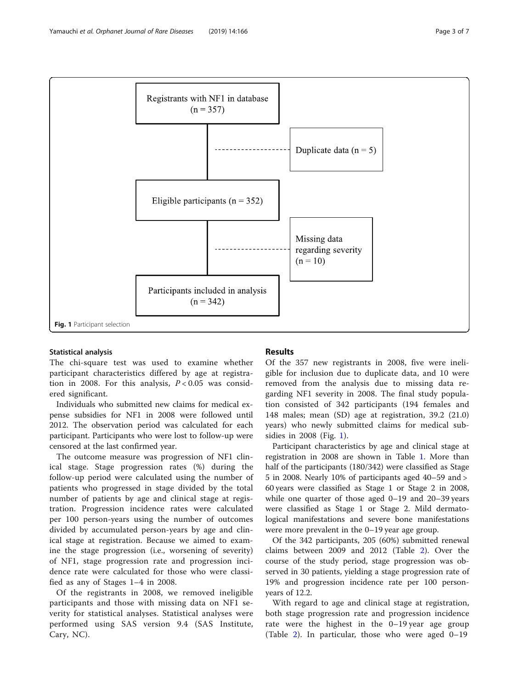<span id="page-2-0"></span>

### Statistical analysis

The chi-square test was used to examine whether participant characteristics differed by age at registration in 2008. For this analysis,  $P < 0.05$  was considered significant.

Individuals who submitted new claims for medical expense subsidies for NF1 in 2008 were followed until 2012. The observation period was calculated for each participant. Participants who were lost to follow-up were censored at the last confirmed year.

The outcome measure was progression of NF1 clinical stage. Stage progression rates (%) during the follow-up period were calculated using the number of patients who progressed in stage divided by the total number of patients by age and clinical stage at registration. Progression incidence rates were calculated per 100 person-years using the number of outcomes divided by accumulated person-years by age and clinical stage at registration. Because we aimed to examine the stage progression (i.e., worsening of severity) of NF1, stage progression rate and progression incidence rate were calculated for those who were classified as any of Stages 1–4 in 2008.

Of the registrants in 2008, we removed ineligible participants and those with missing data on NF1 severity for statistical analyses. Statistical analyses were performed using SAS version 9.4 (SAS Institute, Cary, NC).

## Results

Of the 357 new registrants in 2008, five were ineligible for inclusion due to duplicate data, and 10 were removed from the analysis due to missing data regarding NF1 severity in 2008. The final study population consisted of 342 participants (194 females and 148 males; mean (SD) age at registration, 39.2 (21.0) years) who newly submitted claims for medical subsidies in 2008 (Fig. 1).

Participant characteristics by age and clinical stage at registration in 2008 are shown in Table [1](#page-3-0). More than half of the participants (180/342) were classified as Stage 5 in 2008. Nearly 10% of participants aged 40–59 and > 60 years were classified as Stage 1 or Stage 2 in 2008, while one quarter of those aged 0–19 and 20–39 years were classified as Stage 1 or Stage 2. Mild dermatological manifestations and severe bone manifestations were more prevalent in the 0–19 year age group.

Of the 342 participants, 205 (60%) submitted renewal claims between 2009 and 2012 (Table [2](#page-4-0)). Over the course of the study period, stage progression was observed in 30 patients, yielding a stage progression rate of 19% and progression incidence rate per 100 personyears of 12.2.

With regard to age and clinical stage at registration, both stage progression rate and progression incidence rate were the highest in the 0–19 year age group (Table [2](#page-4-0)). In particular, those who were aged 0–19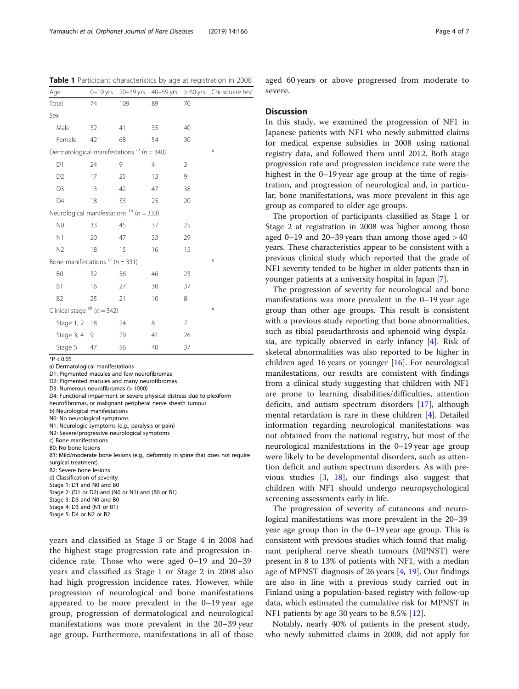<span id="page-3-0"></span>Table 1 Participant characteristics by age at registration in 2008

| Age                                               |    |     |                |    | 0-19 yrs 20-39 yrs 40-59 yrs > 60 yrs Chi-square test |
|---------------------------------------------------|----|-----|----------------|----|-------------------------------------------------------|
| Total                                             | 74 | 109 | 89             | 70 |                                                       |
| Sex                                               |    |     |                |    |                                                       |
| Male                                              | 32 | 41  | 35             | 40 |                                                       |
| Female                                            | 42 | 68  | 54             | 30 |                                                       |
| Dermatological manifestations $a^{(1)}$ (n = 340) |    |     |                |    | ₩                                                     |
| D1                                                | 24 | 9   | $\overline{4}$ | 3  |                                                       |
| D <sub>2</sub>                                    | 17 | 25  | 13             | 9  |                                                       |
| D <sub>3</sub>                                    | 13 | 42  | 47             | 38 |                                                       |
| D4                                                | 18 | 33  | 25             | 20 |                                                       |
| Neurological manifestations $^{b)}$ ( $n = 333$ ) |    |     |                |    |                                                       |
| N <sub>0</sub>                                    | 33 | 45  | 37             | 25 |                                                       |
| N1                                                | 20 | 47  | 33             | 29 |                                                       |
| N <sub>2</sub>                                    | 18 | 15  | 16             | 15 |                                                       |
| Bone manifestations $\binom{c}{r}$ (n = 331)      |    |     |                |    | ⋇                                                     |
| B <sub>0</sub>                                    | 32 | 56  | 46             | 23 |                                                       |
| B1                                                | 16 | 27  | 30             | 37 |                                                       |
| B <sub>2</sub>                                    | 25 | 21  | 10             | 8  |                                                       |
| Clinical stage $^{d)}$ ( $n = 342$ )              |    |     |                |    | ₩                                                     |
| Stage 1, 2 18                                     |    | 24  | 8              | 7  |                                                       |
| Stage 3, 4 9                                      |    | 29  | 41             | 26 |                                                       |
| Stage 5                                           | 47 | 56  | 40             | 37 |                                                       |

 $*P < 0.05$ 

a) Dermatological manifestations

D1: Pigmented macules and few neurofibromas

D2: Pigmented macules and many neurofibromas

D3: Numerous neurofibromas (> 1000)

D4: Functional impairment or severe physical distress due to plexiform neurofibromas, or malignant peripheral nerve sheath tumour

b) Neurological manifestations

N0: No neurological symptoms

N1: Neurologic symptoms (e.g., paralysis or pain)

N2: Severe/progressive neurological symptoms

c) Bone manifestations

B0: No bone lesions

B1: Mild/moderate bone lesions (e.g., deformity in spine that does not require surgical treatment)

B2: Severe bone lesions

d) Classification of severity

Stage 1: D1 and N0 and B0

Stage 2: (D1 or D2) and (N0 or N1) and (B0 or B1)

Stage 3: D3 and N0 and B0

Stage 4: D3 and (N1 or B1)

Stage 5: D4 or N2 or B2

years and classified as Stage 3 or Stage 4 in 2008 had the highest stage progression rate and progression incidence rate. Those who were aged 0–19 and 20–39 years and classified as Stage 1 or Stage 2 in 2008 also had high progression incidence rates. However, while progression of neurological and bone manifestations appeared to be more prevalent in the 0–19 year age group, progression of dermatological and neurological manifestations was more prevalent in the 20–39 year age group. Furthermore, manifestations in all of those

aged 60 years or above progressed from moderate to severe.

#### **Discussion**

In this study, we examined the progression of NF1 in Japanese patients with NF1 who newly submitted claims for medical expense subsidies in 2008 using national registry data, and followed them until 2012. Both stage progression rate and progression incidence rate were the highest in the 0–19 year age group at the time of registration, and progression of neurological and, in particular, bone manifestations, was more prevalent in this age group as compared to older age groups.

The proportion of participants classified as Stage 1 or Stage 2 at registration in 2008 was higher among those aged  $0-19$  and  $20-39$  years than among those aged  $>40$ years. These characteristics appear to be consistent with a previous clinical study which reported that the grade of NF1 severity tended to be higher in older patients than in younger patients at a university hospital in Japan [[7](#page-6-0)].

The progression of severity for neurological and bone manifestations was more prevalent in the 0–19 year age group than other age groups. This result is consistent with a previous study reporting that bone abnormalities, such as tibial pseudarthrosis and sphenoid wing dysplasia, are typically observed in early infancy [[4\]](#page-6-0). Risk of skeletal abnormalities was also reported to be higher in children aged 16 years or younger [\[16\]](#page-6-0). For neurological manifestations, our results are consistent with findings from a clinical study suggesting that children with NF1 are prone to learning disabilities/difficulties, attention deficits, and autism spectrum disorders [[17](#page-6-0)], although mental retardation is rare in these children [[4\]](#page-6-0). Detailed information regarding neurological manifestations was not obtained from the national registry, but most of the neurological manifestations in the 0–19 year age group were likely to be developmental disorders, such as attention deficit and autism spectrum disorders. As with previous studies [\[3,](#page-6-0) [18](#page-6-0)], our findings also suggest that children with NF1 should undergo neuropsychological screening assessments early in life.

The progression of severity of cutaneous and neurological manifestations was more prevalent in the 20–39 year age group than in the 0–19 year age group. This is consistent with previous studies which found that malignant peripheral nerve sheath tumours (MPNST) were present in 8 to 13% of patients with NF1, with a median age of MPNST diagnosis of 26 years [\[4](#page-6-0), [19](#page-6-0)]. Our findings are also in line with a previous study carried out in Finland using a population-based registry with follow-up data, which estimated the cumulative risk for MPNST in NF1 patients by age 30 years to be 8.5% [\[12\]](#page-6-0).

Notably, nearly 40% of patients in the present study, who newly submitted claims in 2008, did not apply for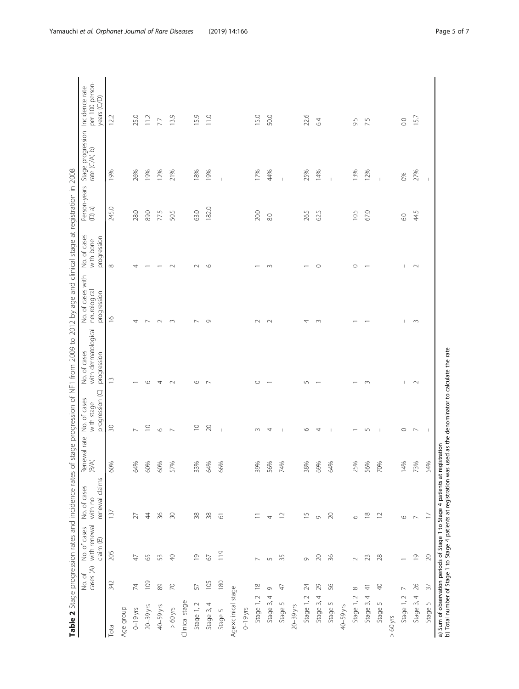| ı                                                                                                              |  |
|----------------------------------------------------------------------------------------------------------------|--|
|                                                                                                                |  |
|                                                                                                                |  |
|                                                                                                                |  |
|                                                                                                                |  |
|                                                                                                                |  |
|                                                                                                                |  |
|                                                                                                                |  |
|                                                                                                                |  |
| $\frac{1}{1}$<br>١                                                                                             |  |
|                                                                                                                |  |
|                                                                                                                |  |
| $\frac{1}{1}$                                                                                                  |  |
|                                                                                                                |  |
|                                                                                                                |  |
| j                                                                                                              |  |
|                                                                                                                |  |
| $\ddot{\phantom{0}}$                                                                                           |  |
| l                                                                                                              |  |
| $\frac{1}{2}$                                                                                                  |  |
|                                                                                                                |  |
|                                                                                                                |  |
| i                                                                                                              |  |
|                                                                                                                |  |
|                                                                                                                |  |
|                                                                                                                |  |
| $\frac{1}{2}$                                                                                                  |  |
| l                                                                                                              |  |
| Ì                                                                                                              |  |
|                                                                                                                |  |
|                                                                                                                |  |
| į                                                                                                              |  |
|                                                                                                                |  |
| l<br>C<br>í                                                                                                    |  |
|                                                                                                                |  |
|                                                                                                                |  |
| j                                                                                                              |  |
| I                                                                                                              |  |
|                                                                                                                |  |
|                                                                                                                |  |
|                                                                                                                |  |
|                                                                                                                |  |
| į                                                                                                              |  |
|                                                                                                                |  |
|                                                                                                                |  |
|                                                                                                                |  |
|                                                                                                                |  |
|                                                                                                                |  |
| l                                                                                                              |  |
|                                                                                                                |  |
|                                                                                                                |  |
|                                                                                                                |  |
|                                                                                                                |  |
|                                                                                                                |  |
|                                                                                                                |  |
| i<br>S                                                                                                         |  |
|                                                                                                                |  |
| ١                                                                                                              |  |
|                                                                                                                |  |
| ١                                                                                                              |  |
|                                                                                                                |  |
|                                                                                                                |  |
|                                                                                                                |  |
|                                                                                                                |  |
|                                                                                                                |  |
|                                                                                                                |  |
|                                                                                                                |  |
|                                                                                                                |  |
|                                                                                                                |  |
|                                                                                                                |  |
|                                                                                                                |  |
|                                                                                                                |  |
|                                                                                                                |  |
|                                                                                                                |  |
| sa unica al alcan                                                                                              |  |
| リリリーリー                                                                                                         |  |
| j                                                                                                              |  |
|                                                                                                                |  |
|                                                                                                                |  |
|                                                                                                                |  |
|                                                                                                                |  |
| ī                                                                                                              |  |
|                                                                                                                |  |
|                                                                                                                |  |
|                                                                                                                |  |
|                                                                                                                |  |
|                                                                                                                |  |
| rates                                                                                                          |  |
| l                                                                                                              |  |
|                                                                                                                |  |
|                                                                                                                |  |
| ¢                                                                                                              |  |
|                                                                                                                |  |
| Ì<br>I                                                                                                         |  |
|                                                                                                                |  |
|                                                                                                                |  |
|                                                                                                                |  |
|                                                                                                                |  |
|                                                                                                                |  |
|                                                                                                                |  |
|                                                                                                                |  |
|                                                                                                                |  |
| and the state of the state of the state of the state of the state of the state of the state of the state of th |  |
|                                                                                                                |  |
|                                                                                                                |  |
|                                                                                                                |  |
|                                                                                                                |  |

<span id="page-4-0"></span>

|                                                                    | cases (A)<br>No. of | with renewal<br>No. of cases<br>claim (B) | renewal claims<br>No. of cases<br>with no                                    | Renewal rate<br>(B/A) | progression (C)<br>No. of cases<br>with stage | with dermatological<br>No. of cases<br>progression | No. of cases with<br>neurological<br>progression | No. of cases<br>progression<br>with bone | Person-years<br>$\binom{p}{q}$ | Stage progression Incidence rate<br>rate $(CA)$ b) | per 100 person-<br>years (C/D) |
|--------------------------------------------------------------------|---------------------|-------------------------------------------|------------------------------------------------------------------------------|-----------------------|-----------------------------------------------|----------------------------------------------------|--------------------------------------------------|------------------------------------------|--------------------------------|----------------------------------------------------|--------------------------------|
| <b>Total</b>                                                       | 342                 | 205                                       | 137                                                                          | 60%                   | 50                                            | $\widetilde{\Box}$                                 | $\frac{\infty}{2}$                               | $\infty$                                 | 245.0                          | 19%                                                | 12.2                           |
| Age group                                                          |                     |                                           |                                                                              |                       |                                               |                                                    |                                                  |                                          |                                |                                                    |                                |
| $0 - 19$ yrs                                                       | $\overline{7}$      | $\overline{4}$                            | 27                                                                           | 64%                   | $\overline{ }$                                |                                                    | 4                                                |                                          | 28.0                           | 26%                                                | 25.0                           |
| 20-39 yrs                                                          | 109                 | 59                                        | $\ddot{4}$                                                                   | 60%                   | $\supseteq$                                   | $\circ$                                            | ∼                                                |                                          | 89.0                           | 19%                                                | 11.2                           |
| 40-59 yrs                                                          | $\otimes$           | 53                                        | 36                                                                           | 60%                   | $\circ$                                       | 4                                                  | $\sim$                                           |                                          | 775                            | 12%                                                | 7.7                            |
| $>60$ yrs                                                          | $\overline{70}$     | $\Theta$                                  | 50                                                                           | 57%                   | $\overline{\phantom{0}}$                      | $\sim$                                             | $\infty$                                         | $\sim$                                   | 50.5                           | 21%                                                | 13.9                           |
| Clinical stage                                                     |                     |                                           |                                                                              |                       |                                               |                                                    |                                                  |                                          |                                |                                                    |                                |
| Stage 1, 2                                                         | 57                  | $\overline{0}$                            | 38                                                                           | 33%                   | $\supseteq$                                   | O                                                  | $\sim$                                           | $\sim$                                   | 63.0                           | 18%                                                | 15.9                           |
| Stage 3, 4                                                         | 105                 | 67                                        | $38$                                                                         | 64%                   | $\geqslant$                                   | $\overline{ }$                                     | $\circ$                                          | $\circ$                                  | 182.0                          | 19%                                                | 11.0                           |
| Stage 5                                                            | 180                 | 119                                       | 5                                                                            | 66%                   | I                                             |                                                    |                                                  |                                          |                                |                                                    |                                |
| Agexclinical stage                                                 |                     |                                           |                                                                              |                       |                                               |                                                    |                                                  |                                          |                                |                                                    |                                |
| $0 - 19$ yrs                                                       |                     |                                           |                                                                              |                       |                                               |                                                    |                                                  |                                          |                                |                                                    |                                |
| Stage 1, 2                                                         | $\approx$           |                                           |                                                                              | 39%                   | $\infty$                                      | $\circ$                                            | $\sim$                                           |                                          | 20.0                           | 17%                                                | 15.0                           |
| Stage 3, 4                                                         | 0                   | 5                                         | 4                                                                            | 56%                   | 4                                             |                                                    | $\sim$                                           | S                                        | 8.0                            | 44%                                                | 50.0                           |
| Stage 5                                                            | 47                  | 35                                        | $\supseteq$                                                                  | 74%                   | $\mathbf{I}$                                  |                                                    |                                                  |                                          |                                | $\mathbf{I}$                                       |                                |
| $20-39$ yrs                                                        |                     |                                           |                                                                              |                       |                                               |                                                    |                                                  |                                          |                                |                                                    |                                |
| Stage 1, 2                                                         | 24                  | Ò                                         | $\overline{15}$                                                              | 38%                   | $\circ$                                       | $\sqrt{ }$                                         | 4                                                |                                          | 26.5                           | 25%                                                | 22.6                           |
| 4<br>Stage 3,                                                      | 29                  | $\gtrsim$                                 | Ò                                                                            | 69%                   | 4                                             |                                                    | $\infty$                                         | $\circ$                                  | 62.5                           | 14%                                                | 64                             |
| Stage 5                                                            | 56                  | $\frac{8}{3}$                             | $\geqslant$                                                                  | 64%                   | 1                                             |                                                    |                                                  |                                          |                                | $\mathbf{I}$                                       |                                |
| 40-59 yrs                                                          |                     |                                           |                                                                              |                       |                                               |                                                    |                                                  |                                          |                                |                                                    |                                |
| $\sim$<br>Stage 1,                                                 | $\infty$            | $\sim$                                    | $\circ$                                                                      | 25%                   |                                               |                                                    |                                                  | $\circ$                                  | 10.5                           | 13%                                                | 9.5                            |
| 4<br>Stage 3,                                                      | $\frac{4}{3}$       | 23                                        | $\frac{8}{1}$                                                                | 56%                   | $\overline{5}$                                | $\sim$                                             |                                                  |                                          | 67.0                           | 12%                                                | 7.5                            |
| Stage 5                                                            | $\sqrt{2}$          | 28                                        | $\overline{C}$                                                               | 70%                   | J.                                            |                                                    |                                                  |                                          |                                | $\overline{1}$                                     |                                |
| $>60$ yrs                                                          |                     |                                           |                                                                              |                       |                                               |                                                    |                                                  |                                          |                                |                                                    |                                |
| Stage 1, 2                                                         | $\overline{ }$      |                                           | $\circ$                                                                      | 14%                   | $\circ$                                       | т                                                  |                                                  | т                                        | G.O                            | 60%                                                | $\rm C$                        |
| 4<br>Stage 3,                                                      | 26                  | $\overline{0}$                            |                                                                              | 73%                   | $\overline{ }$                                | $\sim$                                             | $\sim$                                           | $\sim$                                   | 44.5                           | 27%                                                | 15.7                           |
| Stage 5                                                            | $\overline{37}$     | $\gtrsim$                                 | r                                                                            | 54%                   | $\mathbf{I}$                                  |                                                    |                                                  |                                          |                                | $\mathbb{I}$                                       |                                |
| b) Total number of Stage 1 to Stage 4 patients at registration was |                     |                                           | a) Sum of observation periods of Stage 1 to Stage 4 patients at registration |                       | used as the denominator to calculate the rate |                                                    |                                                  |                                          |                                |                                                    |                                |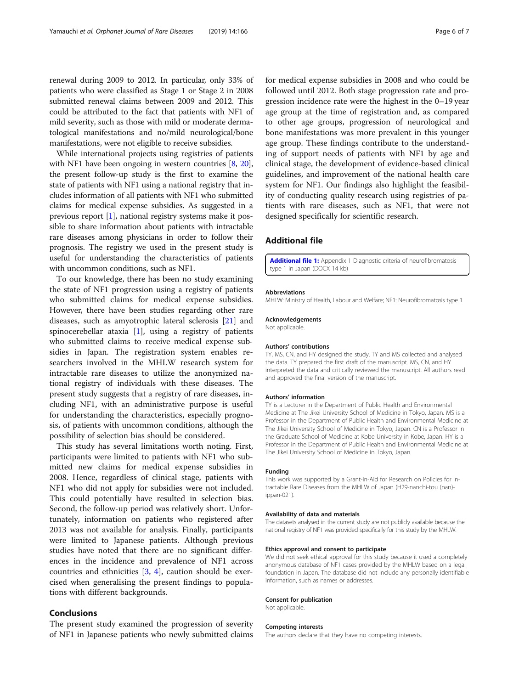<span id="page-5-0"></span>renewal during 2009 to 2012. In particular, only 33% of patients who were classified as Stage 1 or Stage 2 in 2008 submitted renewal claims between 2009 and 2012. This could be attributed to the fact that patients with NF1 of mild severity, such as those with mild or moderate dermatological manifestations and no/mild neurological/bone manifestations, were not eligible to receive subsidies.

While international projects using registries of patients with NF1 have been ongoing in western countries [[8](#page-6-0), [20](#page-6-0)], the present follow-up study is the first to examine the state of patients with NF1 using a national registry that includes information of all patients with NF1 who submitted claims for medical expense subsidies. As suggested in a previous report [[1](#page-6-0)], national registry systems make it possible to share information about patients with intractable rare diseases among physicians in order to follow their prognosis. The registry we used in the present study is useful for understanding the characteristics of patients with uncommon conditions, such as NF1.

To our knowledge, there has been no study examining the state of NF1 progression using a registry of patients who submitted claims for medical expense subsidies. However, there have been studies regarding other rare diseases, such as amyotrophic lateral sclerosis [\[21](#page-6-0)] and spinocerebellar ataxia [\[1](#page-6-0)], using a registry of patients who submitted claims to receive medical expense subsidies in Japan. The registration system enables researchers involved in the MHLW research system for intractable rare diseases to utilize the anonymized national registry of individuals with these diseases. The present study suggests that a registry of rare diseases, including NF1, with an administrative purpose is useful for understanding the characteristics, especially prognosis, of patients with uncommon conditions, although the possibility of selection bias should be considered.

This study has several limitations worth noting. First, participants were limited to patients with NF1 who submitted new claims for medical expense subsidies in 2008. Hence, regardless of clinical stage, patients with NF1 who did not apply for subsidies were not included. This could potentially have resulted in selection bias. Second, the follow-up period was relatively short. Unfortunately, information on patients who registered after 2013 was not available for analysis. Finally, participants were limited to Japanese patients. Although previous studies have noted that there are no significant differences in the incidence and prevalence of NF1 across countries and ethnicities  $[3, 4]$  $[3, 4]$  $[3, 4]$ , caution should be exercised when generalising the present findings to populations with different backgrounds.

## Conclusions

The present study examined the progression of severity of NF1 in Japanese patients who newly submitted claims

for medical expense subsidies in 2008 and who could be followed until 2012. Both stage progression rate and progression incidence rate were the highest in the 0–19 year age group at the time of registration and, as compared to other age groups, progression of neurological and bone manifestations was more prevalent in this younger age group. These findings contribute to the understanding of support needs of patients with NF1 by age and clinical stage, the development of evidence-based clinical guidelines, and improvement of the national health care system for NF1. Our findings also highlight the feasibility of conducting quality research using registries of patients with rare diseases, such as NF1, that were not designed specifically for scientific research.

## Additional file

[Additional file 1:](https://doi.org/10.1186/s13023-019-1148-8) Appendix 1 Diagnostic criteria of neurofibromatosis type 1 in Japan (DOCX 14 kb)

#### Abbreviations

MHLW: Ministry of Health, Labour and Welfare; NF1: Neurofibromatosis type 1

#### Acknowledgements

Not applicable.

#### Authors' contributions

TY, MS, CN, and HY designed the study. TY and MS collected and analysed the data. TY prepared the first draft of the manuscript. MS, CN, and HY interpreted the data and critically reviewed the manuscript. All authors read and approved the final version of the manuscript.

#### Authors' information

TY is a Lecturer in the Department of Public Health and Environmental Medicine at The Jikei University School of Medicine in Tokyo, Japan. MS is a Professor in the Department of Public Health and Environmental Medicine at The Jikei University School of Medicine in Tokyo, Japan. CN is a Professor in the Graduate School of Medicine at Kobe University in Kobe, Japan. HY is a Professor in the Department of Public Health and Environmental Medicine at The Jikei University School of Medicine in Tokyo, Japan.

#### Funding

This work was supported by a Grant-in-Aid for Research on Policies for Intractable Rare Diseases from the MHLW of Japan (H29-nanchi-tou (nan) ippan-021).

#### Availability of data and materials

The datasets analysed in the current study are not publicly available because the national registry of NF1 was provided specifically for this study by the MHLW.

#### Ethics approval and consent to participate

We did not seek ethical approval for this study because it used a completely anonymous database of NF1 cases provided by the MHLW based on a legal foundation in Japan. The database did not include any personally identifiable information, such as names or addresses.

#### Consent for publication

Not applicable.

#### Competing interests

The authors declare that they have no competing interests.